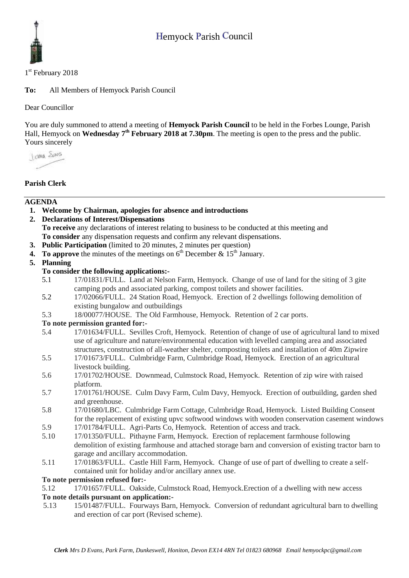

1st February 2018

**To:** All Members of Hemyock Parish Council

Dear Councillor

You are duly summoned to attend a meeting of **Hemyock Parish Council** to be held in the Forbes Lounge, Parish Hall, Hemyock on **Wednesday** 7<sup>th</sup> **February 2018 at 7.30pm**. The meeting is open to the press and the public. Yours sincerely

I awa Shans

# **Parish Clerk**

## **AGENDA**

**1. Welcome by Chairman, apologies for absence and introductions**

**2. Declarations of Interest/Dispensations To receive** any declarations of interest relating to business to be conducted at this meeting and **To consider** any dispensation requests and confirm any relevant dispensations.

- **3. Public Participation** (limited to 20 minutes, 2 minutes per question)
- **4.** To approve the minutes of the meetings on  $6<sup>th</sup>$  December  $\&$  15<sup>th</sup> January.

## **5. Planning**

## **To consider the following applications:-**

- 5.1 17/01831/FULL. Land at Nelson Farm, Hemyock. Change of use of land for the siting of 3 gite camping pods and associated parking, compost toilets and shower facilities.
- 5.2 17/02066/FULL. 24 Station Road, Hemyock. Erection of 2 dwellings following demolition of existing bungalow and outbuildings
- 5.3 18/00077/HOUSE. The Old Farmhouse, Hemyock. Retention of 2 car ports.

### **To note permission granted for:-**

- 5.4 17/01634/FULL. Sevilles Croft, Hemyock. Retention of change of use of agricultural land to mixed use of agriculture and nature/environmental education with levelled camping area and associated structures, construction of all-weather shelter, composting toilets and installation of 40m Zipwire
- 5.5 17/01673/FULL. Culmbridge Farm, Culmbridge Road, Hemyock. Erection of an agricultural livestock building.
- 5.6 17/01702/HOUSE. Downmead, Culmstock Road, Hemyock. Retention of zip wire with raised platform.
- 5.7 17/01761/HOUSE. Culm Davy Farm, Culm Davy, Hemyock. Erection of outbuilding, garden shed and greenhouse.
- 5.8 17/01680/LBC. Culmbridge Farm Cottage, Culmbridge Road, Hemyock. Listed Building Consent for the replacement of existing upvc softwood windows with wooden conservation casement windows
- 5.9 17/01784/FULL. Agri-Parts Co, Hemyock. Retention of access and track.
- 5.10 17/01350/FULL. Pithayne Farm, Hemyock. Erection of replacement farmhouse following demolition of existing farmhouse and attached storage barn and conversion of existing tractor barn to garage and ancillary accommodation.
- 5.11 17/01863/FULL. Castle Hill Farm, Hemyock. Change of use of part of dwelling to create a selfcontained unit for holiday and/or ancillary annex use.

### **To note permission refused for:-**

- 5.12 17/01657/FULL. Oakside, Culmstock Road, Hemyock.Erection of a dwelling with new access **To note details pursuant on application:-**
- 5.13 15/01487/FULL. Fourways Barn, Hemyock. Conversion of redundant agricultural barn to dwelling and erection of car port (Revised scheme).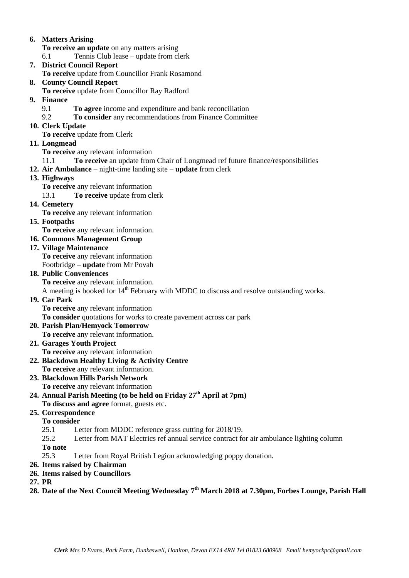### **6. Matters Arising**

**To receive an update** on any matters arising

6.1 Tennis Club lease – update from clerk

**7. District Council Report**

**To receive** update from Councillor Frank Rosamond

- **8. County Council Report**
	- **To receive** update from Councillor Ray Radford
- **9. Finance** 
	- 9.1 **To agree** income and expenditure and bank reconciliation
	- 9.2 **To consider** any recommendations from Finance Committee
- **10. Clerk Update**

**To receive** update from Clerk

**11. Longmead**

**To receive** any relevant information

- 11.1 **To receive** an update from Chair of Longmead ref future finance/responsibilities
- **12. Air Ambulance**  night-time landing site **update** from clerk
- **13. Highways**

**To receive** any relevant information

13.1 **To receive** update from clerk

**14. Cemetery** 

**To receive** any relevant information

**15. Footpaths**

**To receive** any relevant information.

## **16. Commons Management Group**

- **17. Village Maintenance To receive** any relevant information Footbridge – **update** from Mr Povah
- **18. Public Conveniences**

**To receive** any relevant information.

A meeting is booked for  $14<sup>th</sup>$  February with MDDC to discuss and resolve outstanding works.

# **19. Car Park**

**To receive** any relevant information

**To consider** quotations for works to create pavement across car park

- **20. Parish Plan/Hemyock Tomorrow To receive** any relevant information.
- **21. Garages Youth Project To receive** any relevant information
- **22. Blackdown Healthy Living & Activity Centre To receive** any relevant information.
- **23. Blackdown Hills Parish Network To receive** any relevant information
- **24. Annual Parish Meeting (to be held on Friday 27th April at 7pm) To discuss and agree** format, guests etc.

# **25. Correspondence**

## **To consider**

- 25.1 Letter from MDDC reference grass cutting for 2018/19.
- 25.2 Letter from MAT Electrics ref annual service contract for air ambulance lighting column

**To note**

- 25.3 Letter from Royal British Legion acknowledging poppy donation.
- **26. Items raised by Chairman**
- **26. Items raised by Councillors**
- **27. PR**
- **28. Date of the Next Council Meeting Wednesday 7 th March 2018 at 7.30pm, Forbes Lounge, Parish Hall**